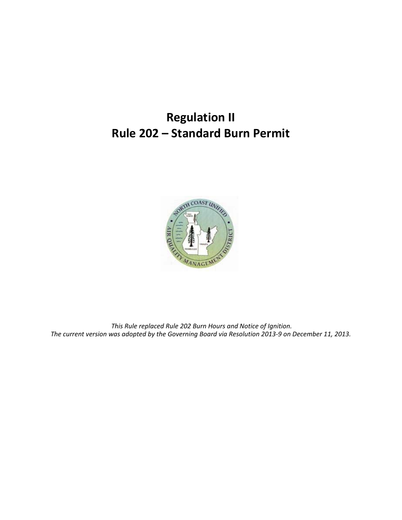# **Regulation II Rule 202 – Standard Burn Permit**



 *This Rule replaced Rule 202 Burn Hours and Notice of Ignition. The current version was adopted by the Governing Board via Resolution 2013-9 on December 11, 2013.*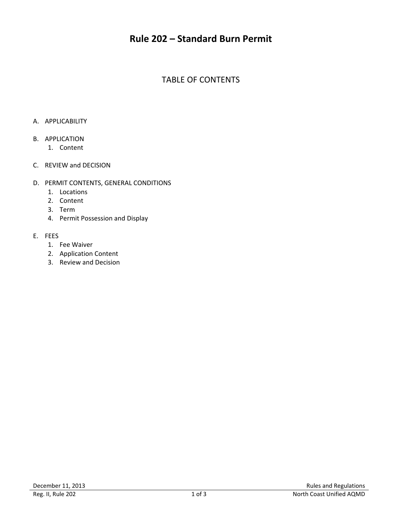# **Rule 202 – Standard Burn Permit**

## TABLE OF CONTENTS

#### A. APPLICABILITY

#### B. APPLICATION

- 1. Content
- C. REVIEW and DECISION

#### D. PERMIT CONTENTS, GENERAL CONDITIONS

- 1. Locations
- 2. Content
- 3. Term
- 4. Permit Possession and Display

#### E. FEES

- 1. Fee Waiver
- 2. Application Content
- 3. Review and Decision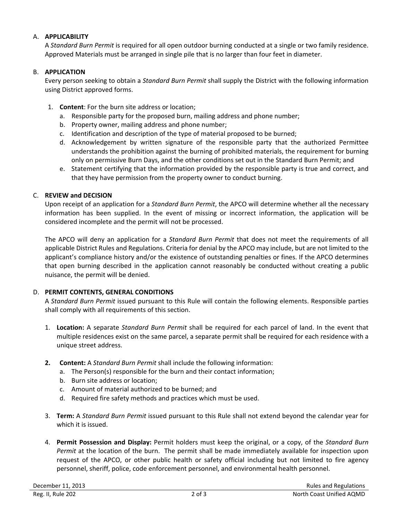#### A. **APPLICABILITY**

A *Standard Burn Permit* is required for all open outdoor burning conducted at a single or two family residence. Approved Materials must be arranged in single pile that is no larger than four feet in diameter.

#### B. **APPLICATION**

Every person seeking to obtain a *Standard Burn Permit* shall supply the District with the following information using District approved forms.

- 1. **Content**: For the burn site address or location;
	- a. Responsible party for the proposed burn, mailing address and phone number;
	- b. Property owner, mailing address and phone number;
	- c. Identification and description of the type of material proposed to be burned;
	- d. Acknowledgement by written signature of the responsible party that the authorized Permittee understands the prohibition against the burning of prohibited materials, the requirement for burning only on permissive Burn Days, and the other conditions set out in the Standard Burn Permit; and
	- e. Statement certifying that the information provided by the responsible party is true and correct, and that they have permission from the property owner to conduct burning.

#### C. **REVIEW and DECISION**

Upon receipt of an application for a *Standard Burn Permit*, the APCO will determine whether all the necessary information has been supplied. In the event of missing or incorrect information, the application will be considered incomplete and the permit will not be processed.

The APCO will deny an application for a *Standard Burn Permit* that does not meet the requirements of all applicable District Rules and Regulations. Criteria for denial by the APCO may include, but are not limited to the applicant's compliance history and/or the existence of outstanding penalties or fines. If the APCO determines that open burning described in the application cannot reasonably be conducted without creating a public nuisance, the permit will be denied.

#### D. **PERMIT CONTENTS, GENERAL CONDITIONS**

A *Standard Burn Permit* issued pursuant to this Rule will contain the following elements. Responsible parties shall comply with all requirements of this section.

- 1. **Location:** A separate *Standard Burn Permit* shall be required for each parcel of land. In the event that multiple residences exist on the same parcel, a separate permit shall be required for each residence with a unique street address.
- **2. Content:** A *Standard Burn Permit* shall include the following information:
	- a. The Person(s) responsible for the burn and their contact information;
	- b. Burn site address or location;
	- c. Amount of material authorized to be burned; and
	- d. Required fire safety methods and practices which must be used.
- 3. **Term:** A *Standard Burn Permit* issued pursuant to this Rule shall not extend beyond the calendar year for which it is issued.
- 4. **Permit Possession and Display:** Permit holders must keep the original, or a copy, of the *Standard Burn Permit* at the location of the burn. The permit shall be made immediately available for inspection upon request of the APCO, or other public health or safety official including but not limited to fire agency personnel, sheriff, police, code enforcement personnel, and environmental health personnel.